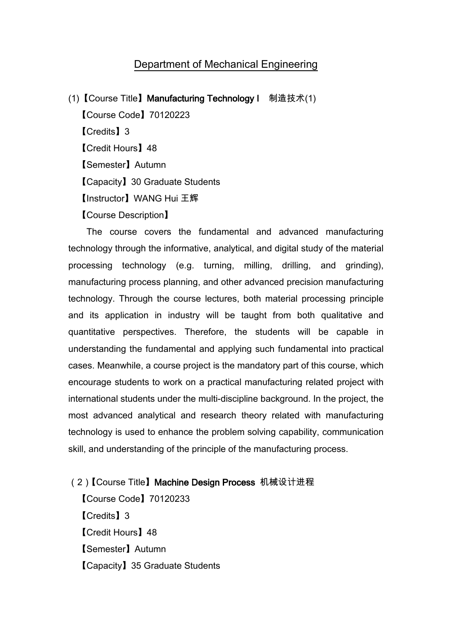## Department of Mechanical Engineering

(1)【Course Title】Manufacturing Technology I 制造技术(1) 【Course Code】70120223 【Credits】3 【Credit Hours】48 【Semester】Autumn 【Capacity】30 Graduate Students 【Instructor】WANG Hui 王辉 【Course Description】

The course covers the fundamental and advanced manufacturing technology through the informative, analytical, and digital study of the material processing technology (e.g. turning, milling, drilling, and grinding), manufacturing process planning, and other advanced precision manufacturing technology. Through the course lectures, both material processing principle and its application in industry will be taught from both qualitative and quantitative perspectives. Therefore, the students will be capable in understanding the fundamental and applying such fundamental into practical cases. Meanwhile, a course project is the mandatory part of this course, which encourage students to work on a practical manufacturing related project with international students under the multi-discipline background. In the project, the most advanced analytical and research theory related with manufacturing technology is used to enhance the problem solving capability, communication skill, and understanding of the principle of the manufacturing process.

- (2) 【Course Title】Machine Design Process 机械设计进程 【Course Code】70120233 【Credits】3 【Credit Hours】48
	- 【Semester】Autumn
	- 【Capacity】35 Graduate Students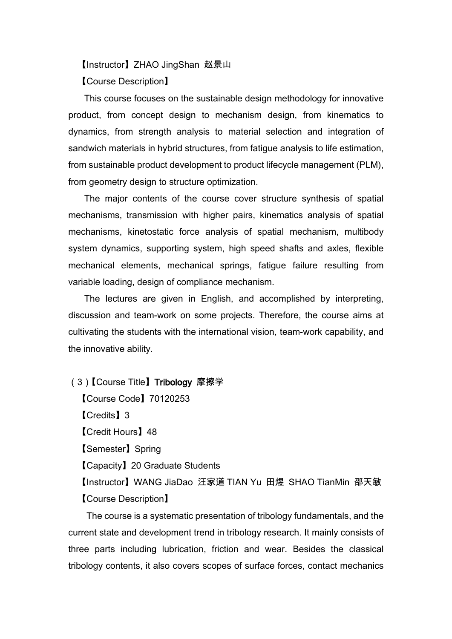【Instructor】ZHAO JingShan 赵景山

【Course Description】

This course focuses on the sustainable design methodology for innovative product, from concept design to mechanism design, from kinematics to dynamics, from strength analysis to material selection and integration of sandwich materials in hybrid structures, from fatigue analysis to life estimation, from sustainable product development to product lifecycle management (PLM), from geometry design to structure optimization.

The major contents of the course cover structure synthesis of spatial mechanisms, transmission with higher pairs, kinematics analysis of spatial mechanisms, kinetostatic force analysis of spatial mechanism, multibody system dynamics, supporting system, high speed shafts and axles, flexible mechanical elements, mechanical springs, fatigue failure resulting from variable loading, design of compliance mechanism.

The lectures are given in English, and accomplished by interpreting, discussion and team-work on some projects. Therefore, the course aims at cultivating the students with the international vision, team-work capability, and the innovative ability.

(3)【Course Title】Tribology 摩擦学

【Course Code】70120253 【Credits】3 【Credit Hours】48 【Semester】Spring 【Capacity】20 Graduate Students 【Instructor】WANG JiaDao 汪家道 TIAN Yu 田煜 SHAO TianMin 邵天敏 【Course Description】

The course is a systematic presentation of tribology fundamentals, and the current state and development trend in tribology research. It mainly consists of three parts including lubrication, friction and wear. Besides the classical tribology contents, it also covers scopes of surface forces, contact mechanics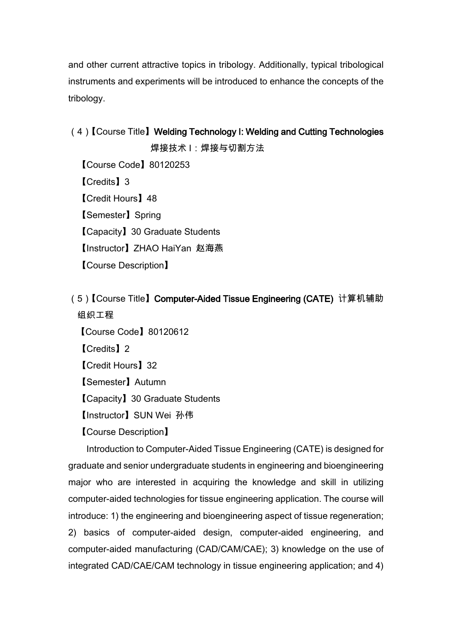and other current attractive topics in tribology. Additionally, typical tribological instruments and experiments will be introduced to enhance the concepts of the tribology.

(4)【Course Title】Welding Technology I: Welding and Cutting Technologies 焊接技术 I:焊接与切割方法 【Course Code】80120253 【Credits】3 【Credit Hours】48 【Semester】Spring 【Capacity】30 Graduate Students 【Instructor】ZHAO HaiYan 赵海燕 【Course Description】

(5)【Course Title】Computer-Aided Tissue Engineering (CATE) 计算机辅助 组织工程

【Course Code】80120612 【Credits】2 【Credit Hours】32 【Semester】Autumn 【Capacity】30 Graduate Students 【Instructor】SUN Wei 孙伟 【Course Description】

Introduction to Computer-Aided Tissue Engineering (CATE) is designed for graduate and senior undergraduate students in engineering and bioengineering major who are interested in acquiring the knowledge and skill in utilizing computer-aided technologies for tissue engineering application. The course will introduce: 1) the engineering and bioengineering aspect of tissue regeneration; 2) basics of computer-aided design, computer-aided engineering, and computer-aided manufacturing (CAD/CAM/CAE); 3) knowledge on the use of integrated CAD/CAE/CAM technology in tissue engineering application; and 4)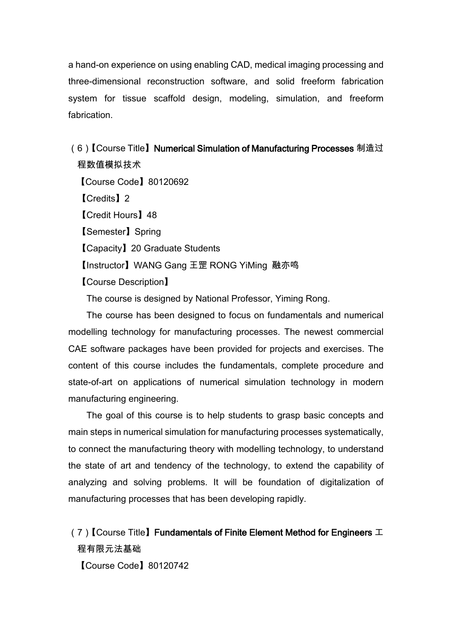a hand-on experience on using enabling CAD, medical imaging processing and three-dimensional reconstruction software, and solid freeform fabrication system for tissue scaffold design, modeling, simulation, and freeform fabrication.

(6)【Course Title】Numerical Simulation of Manufacturing Processes 制造过 程数值模拟技术 【Course Code】80120692 【Credits】2 【Credit Hours】48 【Semester】Spring 【Capacity】20 Graduate Students 【Instructor】WANG Gang 王罡 RONG YiMing 融亦鸣 【Course Description】 The course is designed by National Professor, Yiming Rong.

The course has been designed to focus on fundamentals and numerical modelling technology for manufacturing processes. The newest commercial CAE software packages have been provided for projects and exercises. The content of this course includes the fundamentals, complete procedure and state-of-art on applications of numerical simulation technology in modern manufacturing engineering.

The goal of this course is to help students to grasp basic concepts and main steps in numerical simulation for manufacturing processes systematically, to connect the manufacturing theory with modelling technology, to understand the state of art and tendency of the technology, to extend the capability of analyzing and solving problems. It will be foundation of digitalization of manufacturing processes that has been developing rapidly.

(7)  $[$  Course Title Eundamentals of Finite Element Method for Engineers  $\mathcal I$ 程有限元法基础 【Course Code】80120742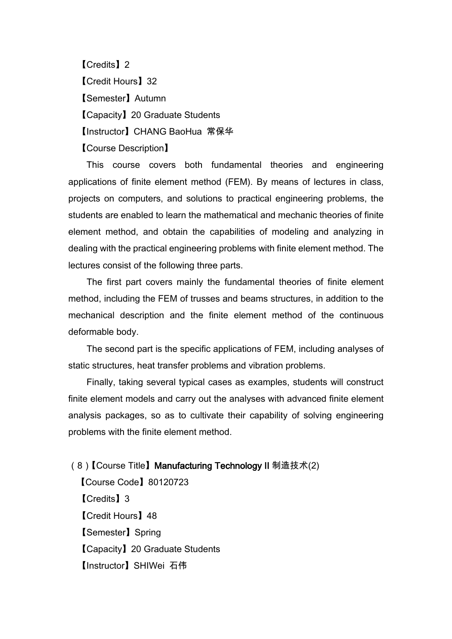【Credits】2 【Credit Hours】32 【Semester】Autumn 【Capacity】20 Graduate Students 【Instructor】CHANG BaoHua 常保华 【Course Description】

This course covers both fundamental theories and engineering applications of finite element method (FEM). By means of lectures in class, projects on computers, and solutions to practical engineering problems, the students are enabled to learn the mathematical and mechanic theories of finite element method, and obtain the capabilities of modeling and analyzing in dealing with the practical engineering problems with finite element method. The lectures consist of the following three parts.

The first part covers mainly the fundamental theories of finite element method, including the FEM of trusses and beams structures, in addition to the mechanical description and the finite element method of the continuous deformable body.

The second part is the specific applications of FEM, including analyses of static structures, heat transfer problems and vibration problems.

Finally, taking several typical cases as examples, students will construct finite element models and carry out the analyses with advanced finite element analysis packages, so as to cultivate their capability of solving engineering problems with the finite element method.

(8)【Course Title】Manufacturing Technology II 制造技术(2)

【Course Code】80120723 【Credits】3 【Credit Hours】48 【Semester】Spring 【Capacity】20 Graduate Students 【Instructor】SHIWei 石伟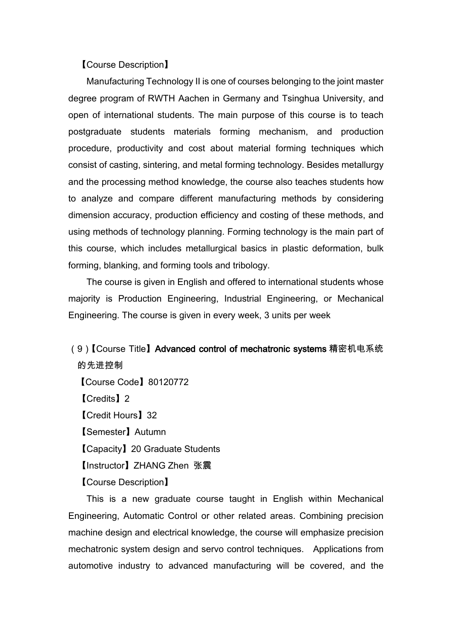## 【Course Description】

Manufacturing Technology II is one of courses belonging to the joint master degree program of RWTH Aachen in Germany and Tsinghua University, and open of international students. The main purpose of this course is to teach postgraduate students materials forming mechanism, and production procedure, productivity and cost about material forming techniques which consist of casting, sintering, and metal forming technology. Besides metallurgy and the processing method knowledge, the course also teaches students how to analyze and compare different manufacturing methods by considering dimension accuracy, production efficiency and costing of these methods, and using methods of technology planning. Forming technology is the main part of this course, which includes metallurgical basics in plastic deformation, bulk forming, blanking, and forming tools and tribology.

The course is given in English and offered to international students whose majority is Production Engineering, Industrial Engineering, or Mechanical Engineering. The course is given in every week, 3 units per week

## (9) 【Course Title】Advanced control of mechatronic systems 精密机电系统 的先进控制

【Course Code】80120772 【Credits】2 【Credit Hours】32 【Semester】Autumn 【Capacity】20 Graduate Students 【Instructor】ZHANG Zhen 张震 【Course Description】

This is a new graduate course taught in English within Mechanical Engineering, Automatic Control or other related areas. Combining precision machine design and electrical knowledge, the course will emphasize precision mechatronic system design and servo control techniques. Applications from automotive industry to advanced manufacturing will be covered, and the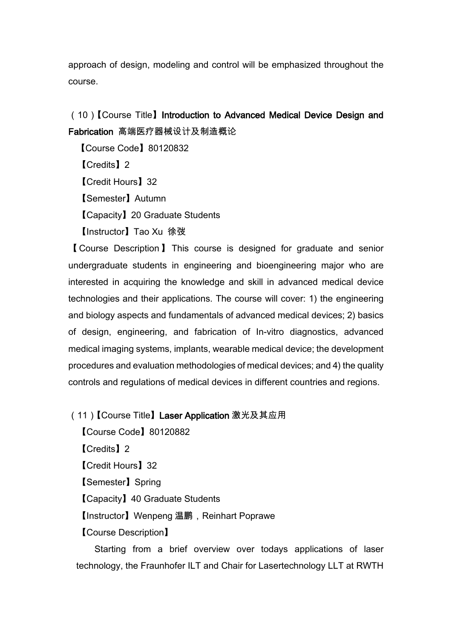approach of design, modeling and control will be emphasized throughout the course.

(10)【Course Title】Introduction to Advanced Medical Device Design and Fabrication 高端医疗器械设计及制造概论

【Course Code】80120832 【Credits】2 【Credit Hours】32 【Semester】Autumn 【Capacity】20 Graduate Students 【Instructor】Tao Xu 徐弢

【 Course Description 】 This course is designed for graduate and senior undergraduate students in engineering and bioengineering major who are interested in acquiring the knowledge and skill in advanced medical device technologies and their applications. The course will cover: 1) the engineering and biology aspects and fundamentals of advanced medical devices; 2) basics of design, engineering, and fabrication of In-vitro diagnostics, advanced medical imaging systems, implants, wearable medical device; the development procedures and evaluation methodologies of medical devices; and 4) the quality controls and regulations of medical devices in different countries and regions.

## (11)【Course Title】Laser Application 激光及其应用

【Course Code】80120882 【Credits】2 【Credit Hours】32 【Semester】Spring 【Capacity】40 Graduate Students 【Instructor】Wenpeng 温鹏,Reinhart Poprawe 【Course Description】

Starting from a brief overview over todays applications of laser technology, the Fraunhofer ILT and Chair for Lasertechnology LLT at RWTH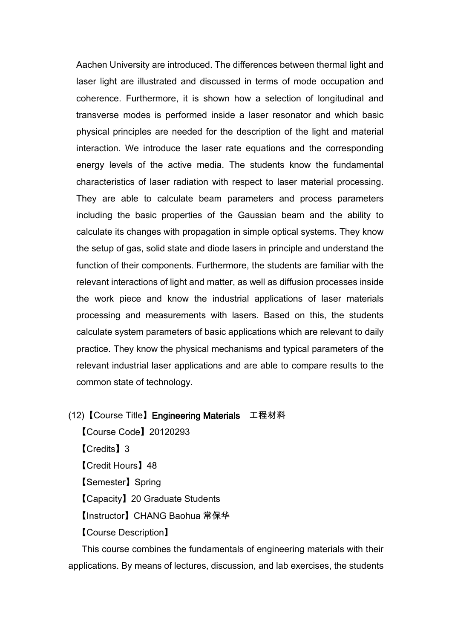Aachen University are introduced. The differences between thermal light and laser light are illustrated and discussed in terms of mode occupation and coherence. Furthermore, it is shown how a selection of longitudinal and transverse modes is performed inside a laser resonator and which basic physical principles are needed for the description of the light and material interaction. We introduce the laser rate equations and the corresponding energy levels of the active media. The students know the fundamental characteristics of laser radiation with respect to laser material processing. They are able to calculate beam parameters and process parameters including the basic properties of the Gaussian beam and the ability to calculate its changes with propagation in simple optical systems. They know the setup of gas, solid state and diode lasers in principle and understand the function of their components. Furthermore, the students are familiar with the relevant interactions of light and matter, as well as diffusion processes inside the work piece and know the industrial applications of laser materials processing and measurements with lasers. Based on this, the students calculate system parameters of basic applications which are relevant to daily practice. They know the physical mechanisms and typical parameters of the relevant industrial laser applications and are able to compare results to the common state of technology.

(12)【Course Title】Engineering Materials 工程材料

【Course Code】20120293 【Credits】3 【Credit Hours】48 【Semester】Spring 【Capacity】20 Graduate Students 【Instructor】CHANG Baohua 常保华 【Course Description】

This course combines the fundamentals of engineering materials with their applications. By means of lectures, discussion, and lab exercises, the students